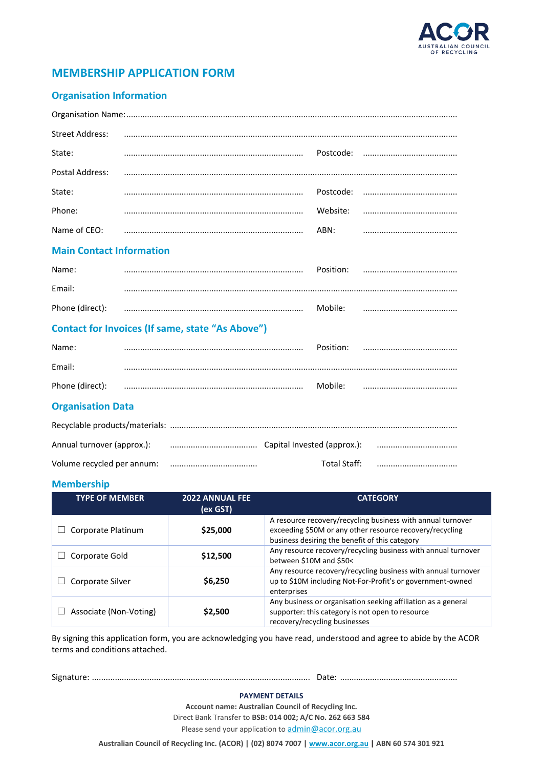

# **MEMBERSHIP APPLICATION FORM**

### **Organisation Information**

| <b>Street Address:</b>                                                                   |                                                                                                                                                                                                                                                                                                                                       |      |  |
|------------------------------------------------------------------------------------------|---------------------------------------------------------------------------------------------------------------------------------------------------------------------------------------------------------------------------------------------------------------------------------------------------------------------------------------|------|--|
| State:                                                                                   |                                                                                                                                                                                                                                                                                                                                       |      |  |
| Postal Address:                                                                          |                                                                                                                                                                                                                                                                                                                                       |      |  |
| State:                                                                                   | $\begin{bmatrix} \begin{bmatrix} 0 & 0 & 0 & 0 \\ 0 & 0 & 0 & 0 \\ 0 & 0 & 0 & 0 \\ 0 & 0 & 0 & 0 \\ 0 & 0 & 0 & 0 \\ 0 & 0 & 0 & 0 \\ 0 & 0 & 0 & 0 \\ 0 & 0 & 0 & 0 & 0 \\ 0 & 0 & 0 & 0 & 0 \\ 0 & 0 & 0 & 0 & 0 \\ 0 & 0 & 0 & 0 & 0 \\ 0 & 0 & 0 & 0 & 0 \\ 0 & 0 & 0 & 0 & 0 \\ 0 & 0 & 0 & 0 & 0 \\ 0 & 0 & 0 & 0 & 0 \\ 0 & $ |      |  |
| Phone:                                                                                   |                                                                                                                                                                                                                                                                                                                                       |      |  |
| Name of CEO:                                                                             |                                                                                                                                                                                                                                                                                                                                       | ABN: |  |
| $\mathbf{a}$ , and $\mathbf{a}$ , and $\mathbf{a}$ , and $\mathbf{a}$ , and $\mathbf{a}$ |                                                                                                                                                                                                                                                                                                                                       |      |  |

#### **Main Contact Information**

| Name:           | Position: |  |
|-----------------|-----------|--|
| Email:          |           |  |
| Phone (direct): | Mobile:   |  |

## **Contact for Invoices (If same, state "As Above")**

| Name:                    |  | Position: |  |
|--------------------------|--|-----------|--|
| Email:                   |  |           |  |
| Phone (direct):          |  | Mobile:   |  |
| <b>Organisation Data</b> |  |           |  |

| Annual turnover (approx.): (a) measuremental must capital Invested (approx.): (a) measuremental measuremental |  |              |  |
|---------------------------------------------------------------------------------------------------------------|--|--------------|--|
|                                                                                                               |  | Total Staff: |  |

#### **Membership**

| <b>TYPE OF MEMBER</b>  | <b>2022 ANNUAL FEE</b><br>(ex GST) | <b>CATEGORY</b>                                                                                                                                                           |
|------------------------|------------------------------------|---------------------------------------------------------------------------------------------------------------------------------------------------------------------------|
| Corporate Platinum     | \$25,000                           | A resource recovery/recycling business with annual turnover<br>exceeding \$50M or any other resource recovery/recycling<br>business desiring the benefit of this category |
| Corporate Gold         | \$12,500                           | Any resource recovery/recycling business with annual turnover<br>between \$10M and \$50<                                                                                  |
| Corporate Silver       | \$6,250                            | Any resource recovery/recycling business with annual turnover<br>up to \$10M including Not-For-Profit's or government-owned<br>enterprises                                |
| Associate (Non-Voting) | \$2,500                            | Any business or organisation seeking affiliation as a general<br>supporter: this category is not open to resource<br>recovery/recycling businesses                        |

By signing this application form, you are acknowledging you have read, understood and agree to abide by the ACOR terms and conditions attached.

Signature: ............................................................................................... Date: ...................................................

#### **PAYMENT DETAILS**

**Account name: Australian Council of Recycling Inc.** Direct Bank Transfer to **BSB: 014 002; A/C No. 262 663 584**

Please send your application to [admin@acor.org.au](mailto:admin@acor.org.au)